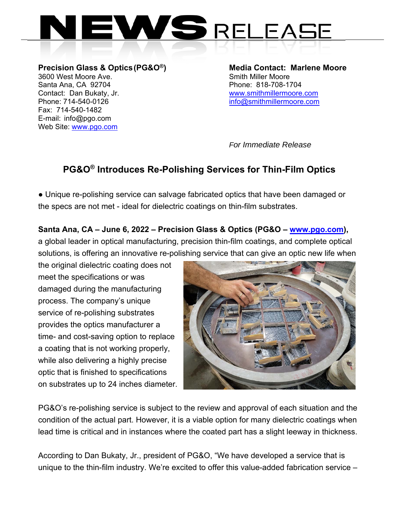

**Precision Glass & Optics (PG&O®) Media Contact: Marlene Moore**  3600 West Moore Ave. Santa Ana, CA 92704 Phone: 818-708-1704 Contact: Dan Bukaty, Jr. www.smithmillermoore.com Phone: 714-540-0126 info@smithmillermoore.com Fax: 714-540-1482 E-mail: info@pgo.com Web Site: www.pgo.com

*For Immediate Release*

## **PG&O® Introduces Re-Polishing Services for Thin-Film Optics**

● Unique re-polishing service can salvage fabricated optics that have been damaged or the specs are not met - ideal for dielectric coatings on thin-film substrates.

## **Santa Ana, CA – June 6, 2022 – Precision Glass & Optics (PG&O – www.pgo.com),**

a global leader in optical manufacturing, precision thin-film coatings, and complete optical solutions, is offering an innovative re-polishing service that can give an optic new life when

the original dielectric coating does not meet the specifications or was damaged during the manufacturing process. The company's unique service of re-polishing substrates provides the optics manufacturer a time- and cost-saving option to replace a coating that is not working properly, while also delivering a highly precise optic that is finished to specifications on substrates up to 24 inches diameter.



PG&O's re-polishing service is subject to the review and approval of each situation and the condition of the actual part. However, it is a viable option for many dielectric coatings when lead time is critical and in instances where the coated part has a slight leeway in thickness.

According to Dan Bukaty, Jr., president of PG&O, "We have developed a service that is unique to the thin-film industry. We're excited to offer this value-added fabrication service –